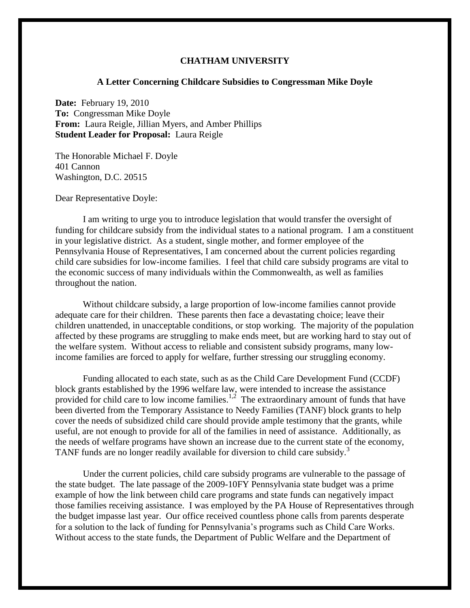## **CHATHAM UNIVERSITY**

## **A Letter Concerning Childcare Subsidies to Congressman Mike Doyle**

**Date:** February 19, 2010 **To:** Congressman Mike Doyle **From:** Laura Reigle, Jillian Myers, and Amber Phillips **Student Leader for Proposal:** Laura Reigle

The Honorable Michael F. Doyle 401 Cannon Washington, D.C. 20515

Dear Representative Doyle:

I am writing to urge you to introduce legislation that would transfer the oversight of funding for childcare subsidy from the individual states to a national program. I am a constituent in your legislative district. As a student, single mother, and former employee of the Pennsylvania House of Representatives, I am concerned about the current policies regarding child care subsidies for low-income families. I feel that child care subsidy programs are vital to the economic success of many individuals within the Commonwealth, as well as families throughout the nation.

Without childcare subsidy, a large proportion of low-income families cannot provide adequate care for their children. These parents then face a devastating choice; leave their children unattended, in unacceptable conditions, or stop working. The majority of the population affected by these programs are struggling to make ends meet, but are working hard to stay out of the welfare system. Without access to reliable and consistent subsidy programs, many lowincome families are forced to apply for welfare, further stressing our struggling economy.

Funding allocated to each state, such as as the Child Care Development Fund (CCDF) block grants established by the 1996 welfare law, were intended to increase the assistance provided for child care to low income families.<sup>1,2</sup> The extraordinary amount of funds that have been diverted from the Temporary Assistance to Needy Families (TANF) block grants to help cover the needs of subsidized child care should provide ample testimony that the grants, while useful, are not enough to provide for all of the families in need of assistance. Additionally, as the needs of welfare programs have shown an increase due to the current state of the economy, TANF funds are no longer readily available for diversion to child care subsidy.<sup>3</sup>

Under the current policies, child care subsidy programs are vulnerable to the passage of the state budget. The late passage of the 2009-10FY Pennsylvania state budget was a prime example of how the link between child care programs and state funds can negatively impact those families receiving assistance. I was employed by the PA House of Representatives through the budget impasse last year. Our office received countless phone calls from parents desperate for a solution to the lack of funding for Pennsylvania's programs such as Child Care Works. Without access to the state funds, the Department of Public Welfare and the Department of